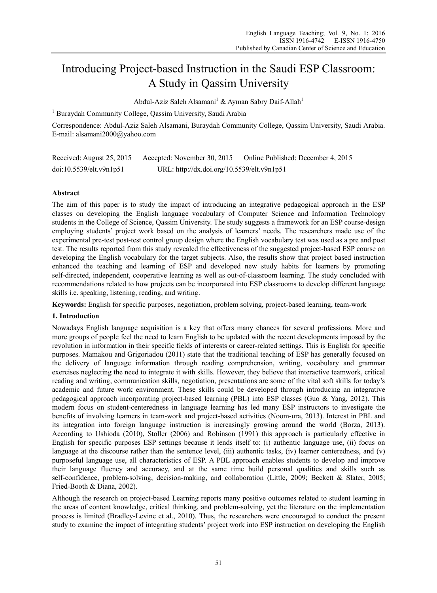# Introducing Project-based Instruction in the Saudi ESP Classroom: A Study in Qassim University

Abdul-Aziz Saleh Alsamani<sup>1</sup> & Ayman Sabry Daif-Allah<sup>1</sup>

<sup>1</sup> Buraydah Community College, Qassim University, Saudi Arabia

Correspondence: Abdul-Aziz Saleh Alsamani, Buraydah Community College, Qassim University, Saudi Arabia. E-mail: alsamani2000@yahoo.com

Received: August 25, 2015 Accepted: November 30, 2015 Online Published: December 4, 2015 doi:10.5539/elt.v9n1p51 URL: http://dx.doi.org/10.5539/elt.v9n1p51

# **Abstract**

The aim of this paper is to study the impact of introducing an integrative pedagogical approach in the ESP classes on developing the English language vocabulary of Computer Science and Information Technology students in the College of Science, Qassim University. The study suggests a framework for an ESP course-design employing students' project work based on the analysis of learners' needs. The researchers made use of the experimental pre-test post-test control group design where the English vocabulary test was used as a pre and post test. The results reported from this study revealed the effectiveness of the suggested project-based ESP course on developing the English vocabulary for the target subjects. Also, the results show that project based instruction enhanced the teaching and learning of ESP and developed new study habits for learners by promoting self-directed, independent, cooperative learning as well as out-of-classroom learning. The study concluded with recommendations related to how projects can be incorporated into ESP classrooms to develop different language skills i.e. speaking, listening, reading, and writing.

**Keywords:** English for specific purposes, negotiation, problem solving, project-based learning, team-work

# **1. Introduction**

Nowadays English language acquisition is a key that offers many chances for several professions. More and more groups of people feel the need to learn English to be updated with the recent developments imposed by the revolution in information in their specific fields of interests or career-related settings. This is English for specific purposes. Mamakou and Grigoriadou (2011) state that the traditional teaching of ESP has generally focused on the delivery of language information through reading comprehension, writing, vocabulary and grammar exercises neglecting the need to integrate it with skills. However, they believe that interactive teamwork, critical reading and writing, communication skills, negotiation, presentations are some of the vital soft skills for today's academic and future work environment. These skills could be developed through introducing an integrative pedagogical approach incorporating project-based learning (PBL) into ESP classes (Guo & Yang, 2012). This modern focus on student-centeredness in language learning has led many ESP instructors to investigate the benefits of involving learners in team-work and project-based activities (Noom-ura, 2013). Interest in PBL and its integration into foreign language instruction is increasingly growing around the world (Borza, 2013). According to Ushioda (2010), Stoller (2006) and Robinson (1991) this approach is particularly effective in English for specific purposes ESP settings because it lends itself to: (i) authentic language use, (ii) focus on language at the discourse rather than the sentence level, (iii) authentic tasks, (iv) learner centeredness, and (v) purposeful language use, all characteristics of ESP. A PBL approach enables students to develop and improve their language fluency and accuracy, and at the same time build personal qualities and skills such as self-confidence, problem-solving, decision-making, and collaboration (Little, 2009; Beckett & Slater, 2005; Fried-Booth & Diana, 2002).

Although the research on project-based Learning reports many positive outcomes related to student learning in the areas of content knowledge, critical thinking, and problem-solving, yet the literature on the implementation process is limited (Bradley-Levine et al., 2010). Thus, the researchers were encouraged to conduct the present study to examine the impact of integrating students' project work into ESP instruction on developing the English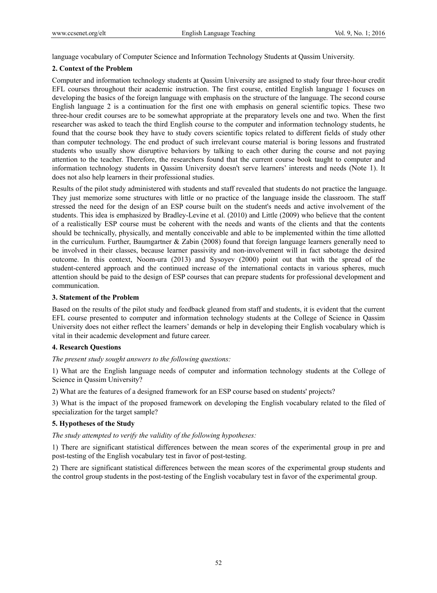language vocabulary of Computer Science and Information Technology Students at Qassim University.

#### **2. Context of the Problem**

Computer and information technology students at Qassim University are assigned to study four three-hour credit EFL courses throughout their academic instruction. The first course, entitled English language 1 focuses on developing the basics of the foreign language with emphasis on the structure of the language. The second course English language 2 is a continuation for the first one with emphasis on general scientific topics. These two three-hour credit courses are to be somewhat appropriate at the preparatory levels one and two. When the first researcher was asked to teach the third English course to the computer and information technology students, he found that the course book they have to study covers scientific topics related to different fields of study other than computer technology. The end product of such irrelevant course material is boring lessons and frustrated students who usually show disruptive behaviors by talking to each other during the course and not paying attention to the teacher. Therefore, the researchers found that the current course book taught to computer and information technology students in Qassim University doesn't serve learners' interests and needs (Note 1). It does not also help learners in their professional studies.

Results of the pilot study administered with students and staff revealed that students do not practice the language. They just memorize some structures with little or no practice of the language inside the classroom. The staff stressed the need for the design of an ESP course built on the student's needs and active involvement of the students. This idea is emphasized by Bradley-Levine et al. (2010) and Little (2009) who believe that the content of a realistically ESP course must be coherent with the needs and wants of the clients and that the contents should be technically, physically, and mentally conceivable and able to be implemented within the time allotted in the curriculum. Further, Baumgartner & Zabin (2008) found that foreign language learners generally need to be involved in their classes, because learner passivity and non-involvement will in fact sabotage the desired outcome. In this context, Noom-ura (2013) and Sysoyev (2000) point out that with the spread of the student-centered approach and the continued increase of the international contacts in various spheres, much attention should be paid to the design of ESP courses that can prepare students for professional development and communication.

#### **3. Statement of the Problem**

Based on the results of the pilot study and feedback gleaned from staff and students, it is evident that the current EFL course presented to computer and information technology students at the College of Science in Qassim University does not either reflect the learners' demands or help in developing their English vocabulary which is vital in their academic development and future career.

# **4. Research Questions**

*The present study sought answers to the following questions:*

1) What are the English language needs of computer and information technology students at the College of Science in Qassim University?

2) What are the features of a designed framework for an ESP course based on students' projects?

3) What is the impact of the proposed framework on developing the English vocabulary related to the filed of specialization for the target sample?

# **5. Hypotheses of the Study**

*The study attempted to verify the validity of the following hypotheses:* 

1) There are significant statistical differences between the mean scores of the experimental group in pre and post-testing of the English vocabulary test in favor of post-testing.

2) There are significant statistical differences between the mean scores of the experimental group students and the control group students in the post-testing of the English vocabulary test in favor of the experimental group.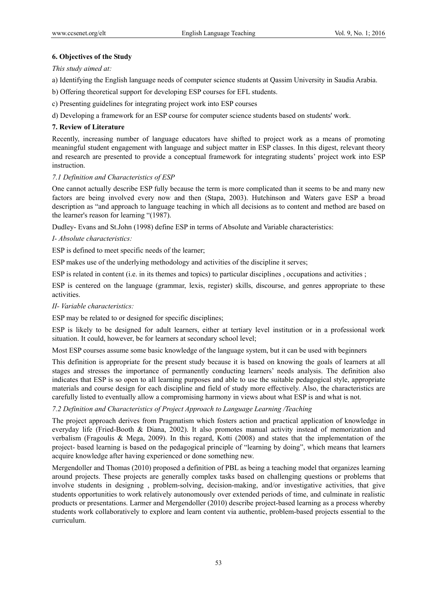# **6. Objectives of the Study**

*This study aimed at:* 

a) Identifying the English language needs of computer science students at Qassim University in Saudia Arabia.

b) Offering theoretical support for developing ESP courses for EFL students.

c) Presenting guidelines for integrating project work into ESP courses

d) Developing a framework for an ESP course for computer science students based on students' work.

# **7. Review of Literature**

Recently, increasing number of language educators have shifted to project work as a means of promoting meaningful student engagement with language and subject matter in ESP classes. In this digest, relevant theory and research are presented to provide a conceptual framework for integrating students' project work into ESP instruction.

# *7.1 Definition and Characteristics of ESP*

One cannot actually describe ESP fully because the term is more complicated than it seems to be and many new factors are being involved every now and then (Stapa, 2003). Hutchinson and Waters gave ESP a broad description as "and approach to language teaching in which all decisions as to content and method are based on the learner's reason for learning "(1987).

Dudley- Evans and St.John (1998) define ESP in terms of Absolute and Variable characteristics:

# *I- Absolute characteristics:*

ESP is defined to meet specific needs of the learner;

ESP makes use of the underlying methodology and activities of the discipline it serves;

ESP is related in content (i.e. in its themes and topics) to particular disciplines , occupations and activities ;

ESP is centered on the language (grammar, lexis, register) skills, discourse, and genres appropriate to these activities.

# *II- Variable characteristics:*

ESP may be related to or designed for specific disciplines;

ESP is likely to be designed for adult learners, either at tertiary level institution or in a professional work situation. It could, however, be for learners at secondary school level;

Most ESP courses assume some basic knowledge of the language system, but it can be used with beginners

This definition is appropriate for the present study because it is based on knowing the goals of learners at all stages and stresses the importance of permanently conducting learners' needs analysis. The definition also indicates that ESP is so open to all learning purposes and able to use the suitable pedagogical style, appropriate materials and course design for each discipline and field of study more effectively. Also, the characteristics are carefully listed to eventually allow a compromising harmony in views about what ESP is and what is not.

# *7.2 Definition and Characteristics of Project Approach to Language Learning /Teaching*

The project approach derives from Pragmatism which fosters action and practical application of knowledge in everyday life (Fried-Booth & Diana, 2002). It also promotes manual activity instead of memorization and verbalism (Fragoulis & Mega, 2009). In this regard, Kotti (2008) and states that the implementation of the project- based learning is based on the pedagogical principle of "learning by doing", which means that learners acquire knowledge after having experienced or done something new.

Mergendoller and Thomas (2010) proposed a definition of PBL as being a teaching model that organizes learning around projects. These projects are generally complex tasks based on challenging questions or problems that involve students in designing , problem-solving, decision-making, and/or investigative activities, that give students opportunities to work relatively autonomously over extended periods of time, and culminate in realistic products or presentations. Larmer and Mergendoller (2010) describe project-based learning as a process whereby students work collaboratively to explore and learn content via authentic, problem-based projects essential to the curriculum.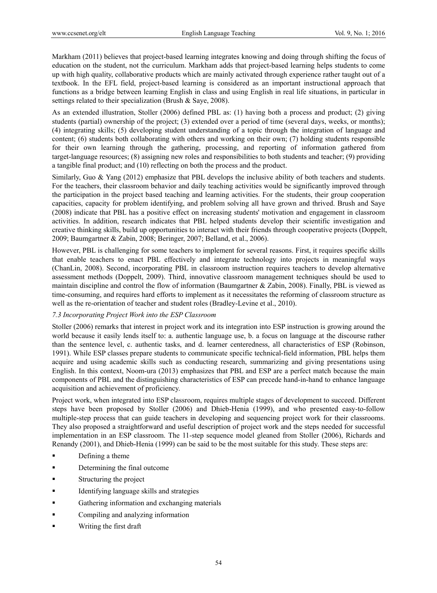Markham (2011) believes that project-based learning integrates knowing and doing through shifting the focus of education on the student, not the curriculum. Markham adds that project-based learning helps students to come up with high quality, collaborative products which are mainly activated through experience rather taught out of a textbook. In the EFL field, project-based learning is considered as an important instructional approach that functions as a bridge between learning English in class and using English in real life situations, in particular in settings related to their specialization (Brush & Saye, 2008).

As an extended illustration, Stoller (2006) defined PBL as: (1) having both a process and product; (2) giving students (partial) ownership of the project; (3) extended over a period of time (several days, weeks, or months); (4) integrating skills; (5) developing student understanding of a topic through the integration of language and content; (6) students both collaborating with others and working on their own; (7) holding students responsible for their own learning through the gathering, processing, and reporting of information gathered from target-language resources; (8) assigning new roles and responsibilities to both students and teacher; (9) providing a tangible final product; and (10) reflecting on both the process and the product.

Similarly, Guo & Yang (2012) emphasize that PBL develops the inclusive ability of both teachers and students. For the teachers, their classroom behavior and daily teaching activities would be significantly improved through the participation in the project based teaching and learning activities. For the students, their group cooperation capacities, capacity for problem identifying, and problem solving all have grown and thrived. Brush and Saye (2008) indicate that PBL has a positive effect on increasing students' motivation and engagement in classroom activities. In addition, research indicates that PBL helped students develop their scientific investigation and creative thinking skills, build up opportunities to interact with their friends through cooperative projects (Doppelt, 2009; Baumgartner & Zabin, 2008; Beringer, 2007; Belland, et al., 2006).

However, PBL is challenging for some teachers to implement for several reasons. First, it requires specific skills that enable teachers to enact PBL effectively and integrate technology into projects in meaningful ways (ChanLin, 2008). Second, incorporating PBL in classroom instruction requires teachers to develop alternative assessment methods (Doppelt, 2009). Third, innovative classroom management techniques should be used to maintain discipline and control the flow of information (Baumgartner & Zabin, 2008). Finally, PBL is viewed as time-consuming, and requires hard efforts to implement as it necessitates the reforming of classroom structure as well as the re-orientation of teacher and student roles (Bradley-Levine et al., 2010).

# *7.3 Incorporating Project Work into the ESP Classroom*

Stoller (2006) remarks that interest in project work and its integration into ESP instruction is growing around the world because it easily lends itself to: a. authentic language use, b. a focus on language at the discourse rather than the sentence level, c. authentic tasks, and d. learner centeredness, all characteristics of ESP (Robinson, 1991). While ESP classes prepare students to communicate specific technical-field information, PBL helps them acquire and using academic skills such as conducting research, summarizing and giving presentations using English. In this context, Noom-ura (2013) emphasizes that PBL and ESP are a perfect match because the main components of PBL and the distinguishing characteristics of ESP can precede hand-in-hand to enhance language acquisition and achievement of proficiency.

Project work, when integrated into ESP classroom, requires multiple stages of development to succeed. Different steps have been proposed by Stoller (2006) and Dhieb-Henia (1999), and who presented easy-to-follow multiple-step process that can guide teachers in developing and sequencing project work for their classrooms. They also proposed a straightforward and useful description of project work and the steps needed for successful implementation in an ESP classroom. The 11-step sequence model gleaned from Stoller (2006), Richards and Renandy (2001), and Dhieb-Henia (1999) can be said to be the most suitable for this study. These steps are:

- Defining a theme
- **Determining the final outcome**
- **Structuring the project**
- **IDENTIFY** Identifying language skills and strategies
- Gathering information and exchanging materials
- **Compiling and analyzing information**
- Writing the first draft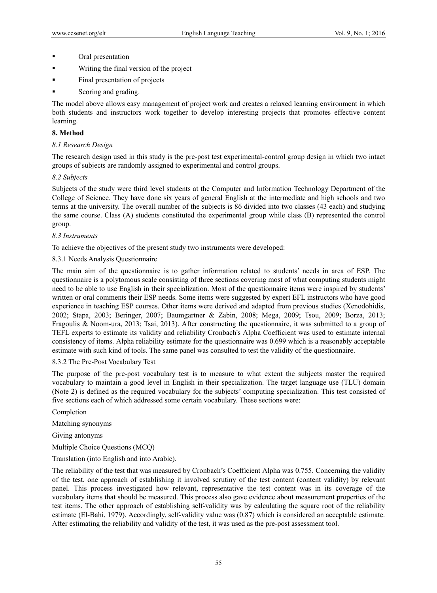- **Cal presentation**
- **•** Writing the final version of the project
- **Final presentation of projects**
- Scoring and grading.

The model above allows easy management of project work and creates a relaxed learning environment in which both students and instructors work together to develop interesting projects that promotes effective content learning.

#### **8. Method**

#### *8.1 Research Design*

The research design used in this study is the pre-post test experimental-control group design in which two intact groups of subjects are randomly assigned to experimental and control groups.

#### *8.2 Subjects*

Subjects of the study were third level students at the Computer and Information Technology Department of the College of Science. They have done six years of general English at the intermediate and high schools and two terms at the university. The overall number of the subjects is 86 divided into two classes (43 each) and studying the same course. Class (A) students constituted the experimental group while class (B) represented the control group.

#### *8.3 Instruments*

To achieve the objectives of the present study two instruments were developed:

#### 8.3.1 Needs Analysis Questionnaire

The main aim of the questionnaire is to gather information related to students' needs in area of ESP. The questionnaire is a polytomous scale consisting of three sections covering most of what computing students might need to be able to use English in their specialization. Most of the questionnaire items were inspired by students' written or oral comments their ESP needs. Some items were suggested by expert EFL instructors who have good experience in teaching ESP courses. Other items were derived and adapted from previous studies (Xenodohidis, 2002; Stapa, 2003; Beringer, 2007; Baumgartner & Zabin, 2008; Mega, 2009; Tsou, 2009; Borza, 2013; Fragoulis & Noom-ura, 2013; Tsai, 2013). After constructing the questionnaire, it was submitted to a group of TEFL experts to estimate its validity and reliability Cronbach's Alpha Coefficient was used to estimate internal consistency of items. Alpha reliability estimate for the questionnaire was 0.699 which is a reasonably acceptable estimate with such kind of tools. The same panel was consulted to test the validity of the questionnaire.

# 8.3.2 The Pre-Post Vocabulary Test

The purpose of the pre-post vocabulary test is to measure to what extent the subjects master the required vocabulary to maintain a good level in English in their specialization. The target language use (TLU) domain (Note 2) is defined as the required vocabulary for the subjects' computing specialization. This test consisted of five sections each of which addressed some certain vocabulary. These sections were:

Completion

Matching synonyms

Giving antonyms

Multiple Choice Questions (MCQ)

Translation (into English and into Arabic).

The reliability of the test that was measured by Cronbach's Coefficient Alpha was 0.755. Concerning the validity of the test, one approach of establishing it involved scrutiny of the test content (content validity) by relevant panel. This process investigated how relevant, representative the test content was in its coverage of the vocabulary items that should be measured. This process also gave evidence about measurement properties of the test items. The other approach of establishing self-validity was by calculating the square root of the reliability estimate (El-Bahi, 1979). Accordingly, self-validity value was (0.87) which is considered an acceptable estimate. After estimating the reliability and validity of the test, it was used as the pre-post assessment tool.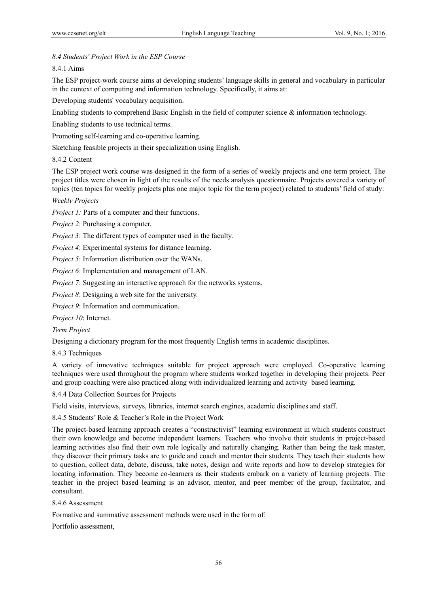*8.4 Students' Project Work in the ESP Course* 

# 8.4.1 Aims

The ESP project-work course aims at developing students' language skills in general and vocabulary in particular in the context of computing and information technology. Specifically, it aims at:

Developing students' vocabulary acquisition.

Enabling students to comprehend Basic English in the field of computer science & information technology.

Enabling students to use technical terms.

Promoting self-learning and co-operative learning.

Sketching feasible projects in their specialization using English.

8.4.2 Content

The ESP project work course was designed in the form of a series of weekly projects and one term project. The project titles were chosen in light of the results of the needs analysis questionnaire. Projects covered a variety of topics (ten topics for weekly projects plus one major topic for the term project) related to students' field of study:

# *Weekly Projects*

*Project 1:* Parts of a computer and their functions.

*Project 2*: Purchasing a computer.

*Project 3*: The different types of computer used in the faculty.

*Project 4*: Experimental systems for distance learning.

*Project 5*: Information distribution over the WANs.

*Project 6*: Implementation and management of LAN.

*Project 7*: Suggesting an interactive approach for the networks systems.

*Project 8*: Designing a web site for the university.

*Project 9*: Information and communication.

*Project 10*: Internet.

*Term Project* 

Designing a dictionary program for the most frequently English terms in academic disciplines.

8.4.3 Techniques

A variety of innovative techniques suitable for project approach were employed. Co-operative learning techniques were used throughout the program where students worked together in developing their projects. Peer and group coaching were also practiced along with individualized learning and activity–based learning.

8.4.4 Data Collection Sources for Projects

Field visits, interviews, surveys, libraries, internet search engines, academic disciplines and staff.

8.4.5 Students' Role & Teacher's Role in the Project Work

The project-based learning approach creates a "constructivist" learning environment in which students construct their own knowledge and become independent learners. Teachers who involve their students in project-based learning activities also find their own role logically and naturally changing. Rather than being the task master, they discover their primary tasks are to guide and coach and mentor their students. They teach their students how to question, collect data, debate, discuss, take notes, design and write reports and how to develop strategies for locating information. They become co-learners as their students embark on a variety of learning projects. The teacher in the project based learning is an advisor, mentor, and peer member of the group, facilitator, and consultant.

# 8.4.6 Assessment

Formative and summative assessment methods were used in the form of:

Portfolio assessment,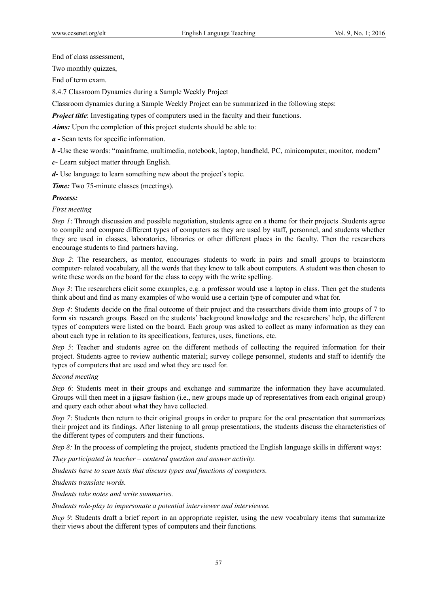End of class assessment,

Two monthly quizzes,

End of term exam.

8.4.7 Classroom Dynamics during a Sample Weekly Project

Classroom dynamics during a Sample Weekly Project can be summarized in the following steps:

*Project title*: Investigating types of computers used in the faculty and their functions.

*Aims:* Upon the completion of this project students should be able to:

*a -* Scan texts for specific information.

*b -*Use these words: "mainframe, multimedia, notebook, laptop, handheld, PC, minicomputer, monitor, modem"

*c-* Learn subject matter through English.

*d-* Use language to learn something new about the project's topic.

*Time:* Two 75-minute classes (meetings).

## *Process:*

#### *First meeting*

*Step 1*: Through discussion and possible negotiation, students agree on a theme for their projects .Students agree to compile and compare different types of computers as they are used by staff, personnel, and students whether they are used in classes, laboratories, libraries or other different places in the faculty. Then the researchers encourage students to find partners having.

*Step 2*: The researchers, as mentor, encourages students to work in pairs and small groups to brainstorm computer- related vocabulary, all the words that they know to talk about computers. A student was then chosen to write these words on the board for the class to copy with the write spelling.

*Step 3*: The researchers elicit some examples, e.g. a professor would use a laptop in class. Then get the students think about and find as many examples of who would use a certain type of computer and what for.

*Step 4*: Students decide on the final outcome of their project and the researchers divide them into groups of 7 to form six research groups. Based on the students' background knowledge and the researchers' help, the different types of computers were listed on the board. Each group was asked to collect as many information as they can about each type in relation to its specifications, features, uses, functions, etc.

*Step 5*: Teacher and students agree on the different methods of collecting the required information for their project. Students agree to review authentic material; survey college personnel, students and staff to identify the types of computers that are used and what they are used for.

## *Second meeting*

*Step 6*: Students meet in their groups and exchange and summarize the information they have accumulated. Groups will then meet in a jigsaw fashion (i.e., new groups made up of representatives from each original group) and query each other about what they have collected.

*Step 7*: Students then return to their original groups in order to prepare for the oral presentation that summarizes their project and its findings. After listening to all group presentations, the students discuss the characteristics of the different types of computers and their functions.

*Step 8:* In the process of completing the project, students practiced the English language skills in different ways:

*They participated in teacher – centered question and answer activity.* 

*Students have to scan texts that discuss types and functions of computers.*

*Students translate words.*

*Students take notes and write summaries.*

*Students role-play to impersonate a potential interviewer and interviewee.*

*Step 9*: Students draft a brief report in an appropriate register, using the new vocabulary items that summarize their views about the different types of computers and their functions.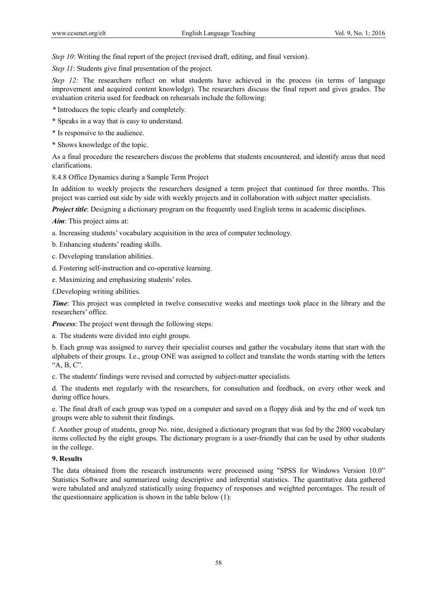*Step* 10: Writing the final report of the project (revised draft, editing, and final version).

*Step 11*: Students give final presentation of the project.

*Step 12:* The researchers reflect on what students have achieved in the process (in terms of language improvement and acquired content knowledge). The researchers discuss the final report and gives grades. The evaluation criteria used for feedback on rehearsals include the following:

*\** Introduces the topic clearly and completely*.* 

- \* Speaks in a way that is easy to understand.
- \* Is responsive to the audience.
- \* Shows knowledge of the topic.

As a final procedure the researchers discuss the problems that students encountered, and identify areas that need clarifications.

8.4.8 Office Dynamics during a Sample Term Project

In addition to weekly projects the researchers designed a term project that continued for three months. This project was carried out side by side with weekly projects and in collaboration with subject matter specialists.

*Project title*: Designing a dictionary program on the frequently used English terms in academic disciplines.

*Aim*: This project aims at:

- a. Increasing students' vocabulary acquisition in the area of computer technology.
- b. Enhancing students' reading skills.
- c. Developing translation abilities.
- d. Fostering self-instruction and co-operative learning.
- e. Maximizing and emphasizing students' roles.

f.Developing writing abilities.

*Time*: This project was completed in twelve consecutive weeks and meetings took place in the library and the researchers' office.

*Process*: The project went through the following steps:

a. The students were divided into eight groups.

b. Each group was assigned to survey their specialist courses and gather the vocabulary items that start with the alphabets of their groups. I.e., group ONE was assigned to collect and translate the words starting with the letters "A, B, C".

c. The students' findings were revised and corrected by subject-matter specialists.

d. The students met regularly with the researchers, for consultation and feedback, on every other week and during office hours.

e. The final draft of each group was typed on a computer and saved on a floppy disk and by the end of week ten groups were able to submit their findings.

f. Another group of students, group No. nine, designed a dictionary program that was fed by the 2800 vocabulary items collected by the eight groups. The dictionary program is a user-friendly that can be used by other students in the college.

# **9. Results**

The data obtained from the research instruments were processed using "SPSS for Windows Version 10.0" Statistics Software and summarized using descriptive and inferential statistics. The quantitative data gathered were tabulated and analyzed statistically using frequency of responses and weighted percentages. The result of the questionnaire application is shown in the table below (1):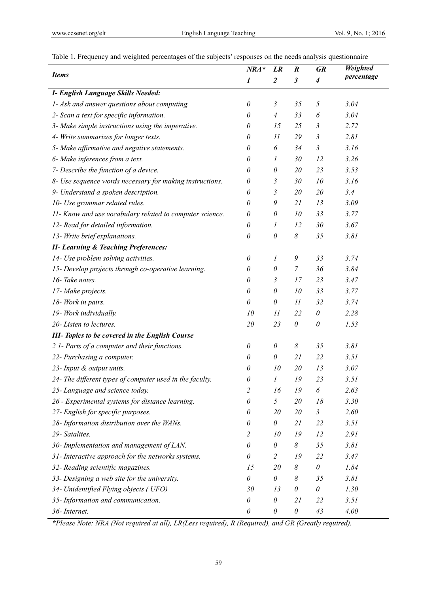# Table 1. Frequency and weighted percentages of the subjects' responses on the needs analysis questionnaire

|                                                          | $NRA*$                    | LR                       | $\boldsymbol{R}$           | <b>GR</b>             | Weighted   |
|----------------------------------------------------------|---------------------------|--------------------------|----------------------------|-----------------------|------------|
| <b>Items</b>                                             | $\boldsymbol{\mathit{1}}$ | $\boldsymbol{2}$         | $\boldsymbol{\beta}$       | $\boldsymbol{4}$      | percentage |
| <b>I- English Language Skills Needed:</b>                |                           |                          |                            |                       |            |
| 1- Ask and answer questions about computing.             | $\theta$                  | 3                        | 35                         | 5                     | 3.04       |
| 2- Scan a text for specific information.                 | $\theta$                  | $\overline{A}$           | 33                         | 6                     | 3.04       |
| 3- Make simple instructions using the imperative.        | $\theta$                  | 15                       | 25                         | 3                     | 2.72       |
| 4- Write summarizes for longer texts.                    | 0                         | 11                       | 29                         | $\mathfrak{Z}$        | 2.81       |
| 5- Make affirmative and negative statements.             | $\theta$                  | 6                        | 34                         | $\mathfrak{Z}$        | 3.16       |
| 6- Make inferences from a text.                          | $\theta$                  | 1                        | 30                         | 12                    | 3.26       |
| 7- Describe the function of a device.                    | $\theta$                  | 0                        | 20                         | 23                    | 3.53       |
| 8- Use sequence words necessary for making instructions. | $\theta$                  | 3                        | 30                         | 10                    | 3.16       |
| 9- Understand a spoken description.                      | $\theta$                  | 3                        | 20                         | 20                    | 3.4        |
| 10- Use grammar related rules.                           | $\theta$                  | 9                        | 21                         | 13                    | 3.09       |
| 11- Know and use vocabulary related to computer science. | $\theta$                  | $\theta$                 | 10                         | 33                    | 3.77       |
| 12- Read for detailed information.                       | $\theta$                  | 1                        | 12                         | 30                    | 3.67       |
| 13- Write brief explanations.                            | $\theta$                  | $\theta$                 | $\boldsymbol{\delta}$      | 35                    | 3.81       |
| <b>II- Learning &amp; Teaching Preferences:</b>          |                           |                          |                            |                       |            |
| 14- Use problem solving activities.                      | $\theta$                  | 1                        | 9                          | 33                    | 3.74       |
| 15- Develop projects through co-operative learning.      | 0                         | $\theta$                 | $\overline{7}$             | 36                    | 3.84       |
| 16- Take notes.                                          | $\theta$                  | 3                        | 17                         | 23                    | 3.47       |
| 17- Make projects.                                       | $\theta$                  | $\boldsymbol{\theta}$    | 10                         | 33                    | 3.77       |
| 18- Work in pairs.                                       | $\theta$                  | $\boldsymbol{\theta}$    | 11                         | 32                    | 3.74       |
| 19- Work individually.                                   | 10                        | $\mathcal{I}\mathcal{I}$ | 22                         | $\theta$              | 2.28       |
| 20- Listen to lectures.                                  | 20                        | 23                       | $\boldsymbol{\theta}$      | $\boldsymbol{\theta}$ | 1.53       |
| <b>III-</b> Topics to be covered in the English Course   |                           |                          |                            |                       |            |
| 2 1- Parts of a computer and their functions.            | $\theta$                  | $\theta$                 | $\boldsymbol{\mathcal{S}}$ | 35                    | 3.81       |
| 22- Purchasing a computer.                               | $\theta$                  | $\theta$                 | 21                         | 22                    | 3.51       |
| 23- Input & output units.                                | $\theta$                  | 10                       | 20                         | 13                    | 3.07       |
| 24- The different types of computer used in the faculty. | $\theta$                  | $\boldsymbol{l}$         | 19                         | 23                    | 3.51       |
| 25- Language and science today.                          | $\overline{c}$            | 16                       | 19                         | 6                     | 2.63       |
| 26 - Experimental systems for distance learning.         | $\boldsymbol{\theta}$     | 5                        | 20                         | 18                    | 3.30       |
| 27- English for specific purposes.                       | 0                         | 20                       | 20                         | $\mathfrak{Z}$        | 2.60       |
| 28- Information distribution over the WANs.              | 0                         | 0                        | 21                         | 22                    | 3.51       |
| 29- Satalites.                                           | 2                         | 10                       | 19                         | 12                    | 2.91       |
| 30- Implementation and management of LAN.                | $\theta$                  | $\theta$                 | $\boldsymbol{\mathcal{S}}$ | 35                    | 3.81       |
| 31- Interactive approach for the networks systems.       | $\theta$                  | $\overline{2}$           | 19                         | 22                    | 3.47       |
| 32- Reading scientific magazines.                        | 15                        | 20                       | $\boldsymbol{\mathcal{S}}$ | $\theta$              | 1.84       |
| 33- Designing a web site for the university.             | $\theta$                  | $\boldsymbol{\theta}$    | 8                          | 35                    | 3.81       |
| 34- Unidentified Flying objects (UFO)                    | 30 <sub>0</sub>           | 13                       | $\boldsymbol{\theta}$      | $\theta$              | 1.30       |
| 35- Information and communication.                       | $\theta$                  | $\theta$                 | 21                         | 22                    | 3.51       |
| 36- Internet.                                            | $\theta$                  | $\theta$                 | $\boldsymbol{\theta}$      | 43                    | 4.00       |

*\*Please Note: NRA (Not required at all), LR(Less required), R (Required), and GR (Greatly required).*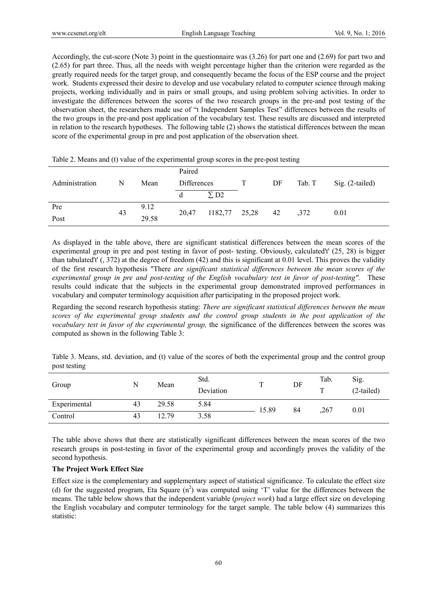Accordingly, the cut-score (Note 3) point in the questionnaire was  $(3.26)$  for part one and  $(2.69)$  for part two and (2.65) for part three. Thus, all the needs with weight percentage higher than the criterion were regarded as the greatly required needs for the target group, and consequently became the focus of the ESP course and the project work. Students expressed their desire to develop and use vocabulary related to computer science through making projects, working individually and in pairs or small groups, and using problem solving activities. In order to investigate the differences between the scores of the two research groups in the pre-and post testing of the observation sheet, the researchers made use of "t Independent Samples Test" differences between the results of the two groups in the pre-and post application of the vocabulary test. These results are discussed and interpreted in relation to the research hypotheses. The following table (2) shows the statistical differences between the mean score of the experimental group in pre and post application of the observation sheet.

| Administration | N  | Mean  | Paired<br>Differences |               | DF | Tab. T | $Sig. (2-tailed)$ |
|----------------|----|-------|-----------------------|---------------|----|--------|-------------------|
|                |    |       |                       | $\Sigma$ D2   |    |        |                   |
| Pre            | 43 | 9.12  | 20.47                 | 1182,77 25,28 | 42 | .372   | 0.01              |
| Post           |    | 29.58 |                       |               |    |        |                   |

|  |  | Table 2. Means and (t) value of the experimental group scores in the pre-post testing |
|--|--|---------------------------------------------------------------------------------------|
|  |  |                                                                                       |

As displayed in the table above, there are significant statistical differences between the mean scores of the experimental group in pre and post testing in favor of post- testing. Obviously, calculated't' (25, 28) is bigger than tabulated't' (,  $372$ ) at the degree of freedom (42) and this is significant at 0.01 level. This proves the validity of the first research hypothesis "There *are significant statistical differences between the mean scores of the experimental group in pre and post-testing of the English vocabulary test in favor of post-testing".* These results could indicate that the subjects in the experimental group demonstrated improved performances in vocabulary and computer terminology acquisition after participating in the proposed project work.

Regarding the second research hypothesis stating: *There are significant statistical differences between the mean scores of the experimental group students and the control group students in the post application of the vocabulary test in favor of the experimental group,* the significance of the differences between the scores was computed as shown in the following Table 3:

Table 3. Means, std. deviation, and (t) value of the scores of both the experimental group and the control group post testing

| Group        | N  | Mean  | Std.<br>Deviation | m     | DF | Tab.<br>m | Sig.<br>$(2-tailed)$ |
|--------------|----|-------|-------------------|-------|----|-----------|----------------------|
| Experimental | 43 | 29.58 | 5.84              | 15.89 | 84 | ,267      | 0.01                 |
| Control      | 43 | 12.79 | 3.58              |       |    |           |                      |

The table above shows that there are statistically significant differences between the mean scores of the two research groups in post-testing in favor of the experimental group and accordingly proves the validity of the second hypothesis.

# **The Project Work Effect Size**

Effect size is the complementary and supplementary aspect of statistical significance. To calculate the effect size (d) for the suggested program, Eta Square  $(n^2)$  was computed using 'T' value for the differences between the means. The table below shows that the independent variable (*project work*) had a large effect size on developing the English vocabulary and computer terminology for the target sample. The table below (4) summarizes this statistic: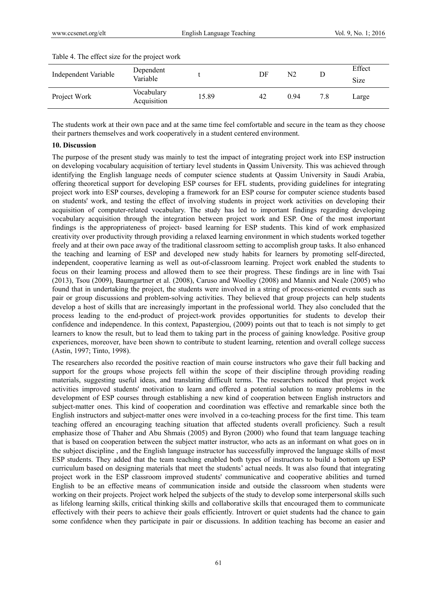| Independent Variable | Dependent<br>Variable     |       | DF | N2   |     | Effect<br><b>Size</b> |
|----------------------|---------------------------|-------|----|------|-----|-----------------------|
| Project Work         | Vocabulary<br>Acquisition | 15.89 | 42 | 0.94 | 7.8 | Large                 |

#### Table 4. The effect size for the project work

The students work at their own pace and at the same time feel comfortable and secure in the team as they choose their partners themselves and work cooperatively in a student centered environment.

#### **10. Discussion**

The purpose of the present study was mainly to test the impact of integrating project work into ESP instruction on developing vocabulary acquisition of tertiary level students in Qassim University. This was achieved through identifying the English language needs of computer science students at Qassim University in Saudi Arabia, offering theoretical support for developing ESP courses for EFL students, providing guidelines for integrating project work into ESP courses, developing a framework for an ESP course for computer science students based on students' work, and testing the effect of involving students in project work activities on developing their acquisition of computer-related vocabulary. The study has led to important findings regarding developing vocabulary acquisition through the integration between project work and ESP. One of the most important findings is the appropriateness of project- based learning for ESP students. This kind of work emphasized creativity over productivity through providing a relaxed learning environment in which students worked together freely and at their own pace away of the traditional classroom setting to accomplish group tasks. It also enhanced the teaching and learning of ESP and developed new study habits for learners by promoting self-directed, independent, cooperative learning as well as out-of-classroom learning. Project work enabled the students to focus on their learning process and allowed them to see their progress. These findings are in line with Tsai (2013), Tsou (2009), Baumgartner et al. (2008), Caruso and Woolley (2008) and Mannix and Neale (2005) who found that in undertaking the project, the students were involved in a string of process-oriented events such as pair or group discussions and problem-solving activities. They believed that group projects can help students develop a host of skills that are increasingly important in the professional world. They also concluded that the process leading to the end-product of project-work provides opportunities for students to develop their confidence and independence. In this context, Papastergiou, (2009) points out that to teach is not simply to get learners to know the result, but to lead them to taking part in the process of gaining knowledge. Positive group experiences, moreover, have been shown to contribute to student learning, retention and overall college success (Astin, 1997; Tinto, 1998).

The researchers also recorded the positive reaction of main course instructors who gave their full backing and support for the groups whose projects fell within the scope of their discipline through providing reading materials, suggesting useful ideas, and translating difficult terms. The researchers noticed that project work activities improved students' motivation to learn and offered a potential solution to many problems in the development of ESP courses through establishing a new kind of cooperation between English instructors and subject-matter ones. This kind of cooperation and coordination was effective and remarkable since both the English instructors and subject-matter ones were involved in a co-teaching process for the first time. This team teaching offered an encouraging teaching situation that affected students overall proficiency. Such a result emphasize those of Thaher and Abu Shmais (2005) and Byron (2000) who found that team language teaching that is based on cooperation between the subject matter instructor, who acts as an informant on what goes on in the subject discipline , and the English language instructor has successfully improved the language skills of most ESP students. They added that the team teaching enabled both types of instructors to build a bottom up ESP curriculum based on designing materials that meet the students' actual needs. It was also found that integrating project work in the ESP classroom improved students' communicative and cooperative abilities and turned English to be an effective means of communication inside and outside the classroom when students were working on their projects. Project work helped the subjects of the study to develop some interpersonal skills such as lifelong learning skills, critical thinking skills and collaborative skills that encouraged them to communicate effectively with their peers to achieve their goals efficiently. Introvert or quiet students had the chance to gain some confidence when they participate in pair or discussions. In addition teaching has become an easier and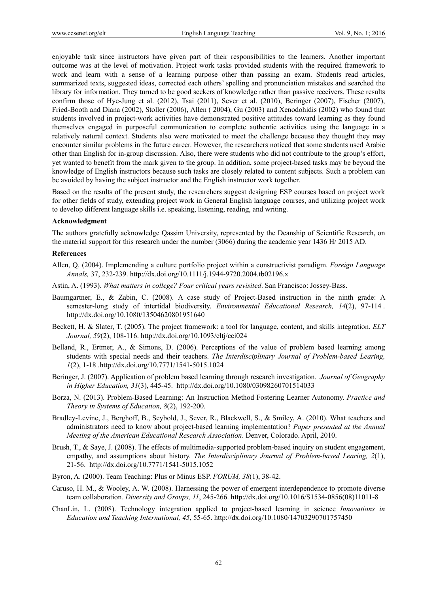enjoyable task since instructors have given part of their responsibilities to the learners. Another important outcome was at the level of motivation. Project work tasks provided students with the required framework to work and learn with a sense of a learning purpose other than passing an exam. Students read articles, summarized texts, suggested ideas, corrected each others' spelling and pronunciation mistakes and searched the library for information. They turned to be good seekers of knowledge rather than passive receivers. These results confirm those of Hye-Jung et al. (2012), Tsai (2011), Sever et al. (2010), Beringer (2007), Fischer (2007), Fried-Booth and Diana (2002), Stoller (2006), Allen ( 2004), Gu (2003) and Xenodohidis (2002) who found that students involved in project-work activities have demonstrated positive attitudes toward learning as they found themselves engaged in purposeful communication to complete authentic activities using the language in a relatively natural context. Students also were motivated to meet the challenge because they thought they may encounter similar problems in the future career. However, the researchers noticed that some students used Arabic other than English for in-group discussion. Also, there were students who did not contribute to the group's effort, yet wanted to benefit from the mark given to the group. In addition, some project-based tasks may be beyond the knowledge of English instructors because such tasks are closely related to content subjects. Such a problem can be avoided by having the subject instructor and the English instructor work together.

Based on the results of the present study, the researchers suggest designing ESP courses based on project work for other fields of study, extending project work in General English language courses, and utilizing project work to develop different language skills i.e. speaking, listening, reading, and writing.

#### **Acknowledgment**

The authors gratefully acknowledge Qassim University, represented by the Deanship of Scientific Research, on the material support for this research under the number (3066) during the academic year 1436 H/ 2015 AD.

#### **References**

- Allen, Q. (2004). Implemending a culture portfolio project within a constructivist paradigm. *Foreign Language Annals,* 37, 232-239. http://dx.doi.org/10.1111/j.1944-9720.2004.tb02196.x
- Astin, A. (1993). *What matters in college? Four critical years revisited*. San Francisco: Jossey-Bass.
- Baumgartner, E., & Zabin, C. (2008). A case study of Project-Based instruction in the ninth grade: A semester-long study of intertidal biodiversity. *Environmental Educational Research, 14*(2), 97-114 . http://dx.doi.org/10.1080/13504620801951640
- Beckett, H. & Slater, T. (2005). The project framework: a tool for language, content, and skills integration. *ELT Journal, 59*(2), 108-116. http://dx.doi.org/10.1093/eltj/cci024
- Belland, R., Ertmer, A., & Simons, D. (2006). Perceptions of the value of problem based learning among students with special needs and their teachers. *The Interdisciplinary Journal of Problem-based Learing, 1*(2), 1-18 . http://dx.doi.org/10.7771/1541-5015.1024
- Beringer, J. (2007). Application of problem based learning through research investigation. *Journal of Geography in Higher Education, 31*(3), 445-45. http://dx.doi.org/10.1080/03098260701514033
- Borza, N. (2013). Problem-Based Learning: An Instruction Method Fostering Learner Autonomy. *Practice and Theory in Systems of Education, 8*(2), 192-200.
- Bradley-Levine, J., Berghoff, B., Seybold, J., Sever, R., Blackwell, S., & Smiley, A. (2010). What teachers and administrators need to know about project-based learning implementation? *Paper presented at the Annual Meeting of the American Educational Research Association*. Denver, Colorado. April, 2010.
- Brush, T., & Saye, J. (2008). The effects of multimedia-supported problem-based inquiry on student engagement, empathy, and assumptions about history. *The Interdisciplinary Journal of Problem-based Learing, 2*(1), 21-56. http://dx.doi.org/10.7771/1541-5015.1052
- Byron, A. (2000). Team Teaching: Plus or Minus ESP. *FORUM, 38*(1), 38-42.
- Caruso, H. M., & Wooley, A. W. (2008). Harnessing the power of emergent interdependence to promote diverse team collaboration*. Diversity and Groups, 11*, 245-266. http://dx.doi.org/10.1016/S1534-0856(08)11011-8
- ChanLin, L. (2008). Technology integration applied to project-based learning in science *Innovations in Education and Teaching International, 45*, 55-65. http://dx.doi.org/10.1080/14703290701757450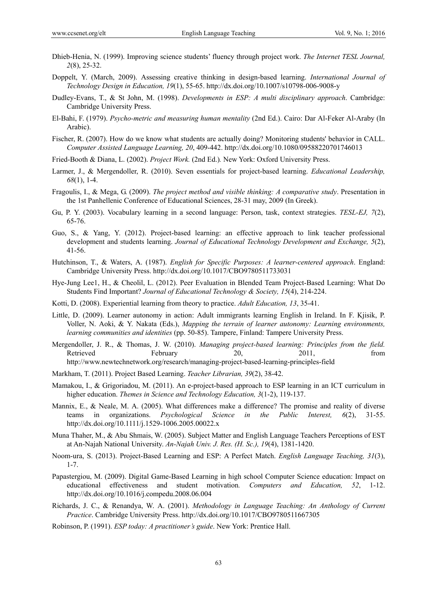- Dhieb-Henia, N. (1999). Improving science students' fluency through project work. *The Internet TESL Journal, 2*(8), 25-32.
- Doppelt, Y. (March, 2009). Assessing creative thinking in design-based learning. *International Journal of Technology Design in Education, 19*(1), 55-65. http://dx.doi.org/10.1007/s10798-006-9008-y
- Dudley-Evans, T., & St John, M. (1998). *Developments in ESP: A multi disciplinary approach*. Cambridge: Cambridge University Press.
- El-Bahi, F. (1979). *Psycho-metric and measuring human mentality* (2nd Ed.). Cairo: Dar Al-Feker Al-Araby (In Arabic).
- Fischer, R. (2007). How do we know what students are actually doing? Monitoring students' behavior in CALL. *Computer Assisted Language Learning, 20*, 409-442. http://dx.doi.org/10.1080/09588220701746013
- Fried-Booth & Diana, L. (2002). *Project Work.* (2nd Ed.)*.* New York: Oxford University Press.
- Larmer, J., & Mergendoller, R. (2010). Seven essentials for project-based learning. *Educational Leadership, 68*(1), 1-4.
- Fragoulis, I., & Mega, G. (2009). *The project method and visible thinking: A comparative study*. Presentation in the 1st Panhellenic Conference of Educational Sciences, 28-31 may, 2009 (In Greek).
- Gu, P. Y. (2003). Vocabulary learning in a second language: Person, task, context strategies. *TESL-EJ, 7*(2), 65-76.
- Guo, S., & Yang, Y. (2012). Project-based learning: an effective approach to link teacher professional development and students learning. *Journal of Educational Technology Development and Exchange, 5*(2), 41-56.
- Hutchinson, T., & Waters, A. (1987). *English for Specific Purposes: A learner-centered approach*. England: Cambridge University Press. http://dx.doi.org/10.1017/CBO9780511733031
- Hye-Jung Lee1, H., & Cheolil, L. (2012). Peer Evaluation in Blended Team Project-Based Learning: What Do Students Find Important? *Journal of Educational Technology & Society, 15*(4), 214-224.
- Kotti, D. (2008). Experiential learning from theory to practice. *Adult Education, 13*, 35-41.
- Little, D. (2009). Learner autonomy in action: Adult immigrants learning English in Ireland. In F. Kjisik, P. Voller, N. Aoki, & Y. Nakata (Eds.), *Mapping the terrain of learner autonomy: Learning environments, learning communities and identities* (pp. 50-85). Tampere, Finland: Tampere University Press.
- Mergendoller, J. R., & Thomas, J. W. (2010). *Managing project-based learning: Principles from the field.* Retrieved February 20, 2011, from http://www.newtechnetwork.org/research/managing-project-based-learning-principles-field
- Markham, T. (2011). Project Based Learning. *Teacher Librarian, 39*(2), 38-42.
- Mamakou, I., & Grigoriadou, M. (2011). An e-project-based approach to ESP learning in an ICT curriculum in higher education. *Themes in Science and Technology Education, 3*(1-2), 119-137.
- Mannix, E., & Neale, M. A. (2005). What differences make a difference? The promise and reality of diverse teams in organizations. *Psychological Science in the Public Interest, 6*(2), 31-55. http://dx.doi.org/10.1111/j.1529-1006.2005.00022.x
- Muna Thaher, M., & Abu Shmais, W. (2005). Subject Matter and English Language Teachers Perceptions of EST at An-Najah National University. *An-Najah Univ. J. Res. (H. Sc.), 19*(4), 1381-1420.
- Noom-ura, S. (2013). Project-Based Learning and ESP: A Perfect Match. *English Language Teaching, 31*(3), 1-7.
- Papastergiou, M. (2009). Digital Game-Based Learning in high school Computer Science education: Impact on educational effectiveness and student motivation*. Computers and Education, 52*, 1-12. http://dx.doi.org/10.1016/j.compedu.2008.06.004
- Richards, J. C., & Renandya, W. A. (2001). *Methodology in Language Teaching: An Anthology of Current Practice*. Cambridge University Press. http://dx.doi.org/10.1017/CBO9780511667305
- Robinson, P. (1991). *ESP today: A practitioner's guide*. New York: Prentice Hall.